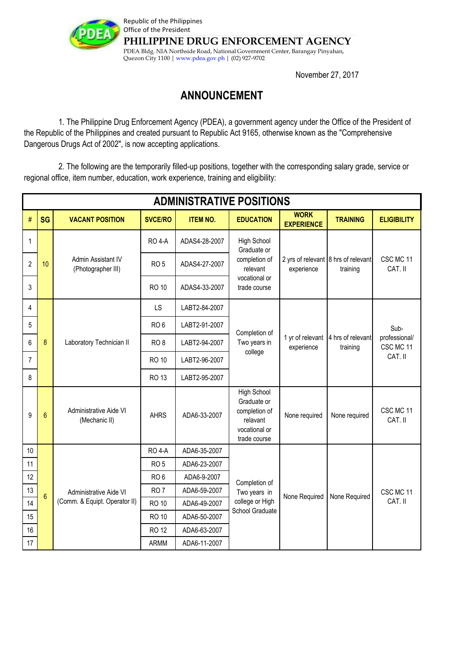

Republic of the Philippines Office of the President **PHILIPPINE DRUG ENFORCEMENT AGENCY** PDEA Bldg. NIA Northside Road, National Government Center, Barangay Pinyahan, Quezon City 1100 | www.pdea.gov.ph | (02) 927-9702

November 27, 2017

## **ANNOUNCEMENT**

 1. The Philippine Drug Enforcement Agency (PDEA), a government agency under the Office of the President of the Republic of the Philippines and created pursuant to Republic Act 9165, otherwise known as the "Comprehensive Dangerous Drugs Act of 2002", is now accepting applications.

 2. The following are the temporarily filled-up positions, together with the corresponding salary grade, service or regional office, item number, education, work experience, training and eligibility:

| <b>ADMINISTRATIVE POSITIONS</b> |                |                                                         |                 |                 |                                                                                                 |                                                   |                               |                                               |
|---------------------------------|----------------|---------------------------------------------------------|-----------------|-----------------|-------------------------------------------------------------------------------------------------|---------------------------------------------------|-------------------------------|-----------------------------------------------|
| #                               | <b>SG</b>      | <b>VACANT POSITION</b>                                  | <b>SVCE/RO</b>  | <b>ITEM NO.</b> | <b>EDUCATION</b>                                                                                | <b>WORK</b><br><b>EXPERIENCE</b>                  | <b>TRAINING</b>               | <b>ELIGIBILITY</b>                            |
| 1                               | 10             | Admin Assistant IV<br>(Photographer III)                | <b>RO 4-A</b>   | ADAS4-28-2007   | High School<br>Graduate or<br>completion of<br>relevant<br>vocational or<br>trade course        | 2 yrs of relevant 8 hrs of relevant<br>experience | training                      | CSC MC 11<br>CAT. II                          |
| $\overline{c}$                  |                |                                                         | RO <sub>5</sub> | ADAS4-27-2007   |                                                                                                 |                                                   |                               |                                               |
| 3                               |                |                                                         | <b>RO 10</b>    | ADAS4-33-2007   |                                                                                                 |                                                   |                               |                                               |
| 4                               | 8              | Laboratory Technician II                                | LS              | LABT2-84-2007   | Completion of<br>Two years in<br>college                                                        | 1 yr of relevant<br>experience                    | 4 hrs of relevant<br>training | Sub-<br>professional/<br>CSC MC 11<br>CAT. II |
| 5                               |                |                                                         | RO <sub>6</sub> | LABT2-91-2007   |                                                                                                 |                                                   |                               |                                               |
| 6                               |                |                                                         | RO <sub>8</sub> | LABT2-94-2007   |                                                                                                 |                                                   |                               |                                               |
| $\overline{7}$                  |                |                                                         | <b>RO 10</b>    | LABT2-96-2007   |                                                                                                 |                                                   |                               |                                               |
| 8                               |                |                                                         | <b>RO 13</b>    | LABT2-95-2007   |                                                                                                 |                                                   |                               |                                               |
| 9                               | $6\phantom{1}$ | Administrative Aide VI<br>(Mechanic II)                 | <b>AHRS</b>     | ADA6-33-2007    | <b>High School</b><br>Graduate or<br>completion of<br>relavant<br>vocational or<br>trade course | None required                                     | None required                 | CSC MC 11<br>CAT. II                          |
| $10$                            | $6\phantom{1}$ | Administrative Aide VI<br>(Comm. & Equipt. Operator II) | <b>RO 4-A</b>   | ADA6-35-2007    | Completion of<br>Two years in<br>college or High<br>School Graduate                             | None Required                                     | None Required                 | CSC MC 11<br>CAT. II                          |
| 11                              |                |                                                         | RO <sub>5</sub> | ADA6-23-2007    |                                                                                                 |                                                   |                               |                                               |
| 12                              |                |                                                         | RO <sub>6</sub> | ADA6-9-2007     |                                                                                                 |                                                   |                               |                                               |
| 13                              |                |                                                         | RO <sub>7</sub> | ADA6-59-2007    |                                                                                                 |                                                   |                               |                                               |
| 14                              |                |                                                         | <b>RO 10</b>    | ADA6-49-2007    |                                                                                                 |                                                   |                               |                                               |
| 15                              |                |                                                         | <b>RO 10</b>    | ADA6-50-2007    |                                                                                                 |                                                   |                               |                                               |
| 16                              |                |                                                         | <b>RO 12</b>    | ADA6-63-2007    |                                                                                                 |                                                   |                               |                                               |
| 17                              |                |                                                         | <b>ARMM</b>     | ADA6-11-2007    |                                                                                                 |                                                   |                               |                                               |